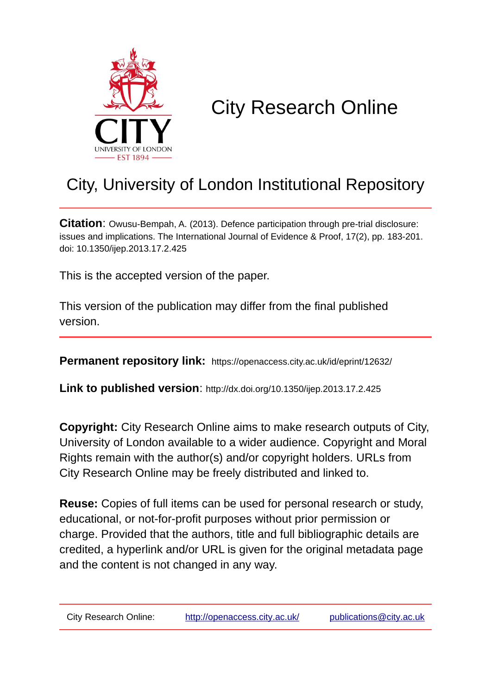

# City Research Online

## City, University of London Institutional Repository

**Citation**: Owusu-Bempah, A. (2013). Defence participation through pre-trial disclosure: issues and implications. The International Journal of Evidence & Proof, 17(2), pp. 183-201. doi: 10.1350/ijep.2013.17.2.425

This is the accepted version of the paper.

This version of the publication may differ from the final published version.

**Permanent repository link:** https://openaccess.city.ac.uk/id/eprint/12632/

**Link to published version**: http://dx.doi.org/10.1350/ijep.2013.17.2.425

**Copyright:** City Research Online aims to make research outputs of City, University of London available to a wider audience. Copyright and Moral Rights remain with the author(s) and/or copyright holders. URLs from City Research Online may be freely distributed and linked to.

**Reuse:** Copies of full items can be used for personal research or study, educational, or not-for-profit purposes without prior permission or charge. Provided that the authors, title and full bibliographic details are credited, a hyperlink and/or URL is given for the original metadata page and the content is not changed in any way.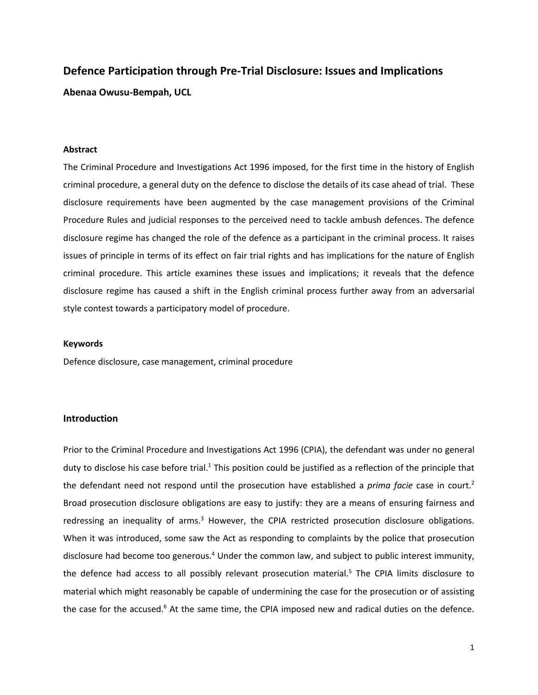### **Defence Participation through Pre-Trial Disclosure: Issues and Implications**

**Abenaa Owusu-Bempah, UCL**

#### **Abstract**

The Criminal Procedure and Investigations Act 1996 imposed, for the first time in the history of English criminal procedure, a general duty on the defence to disclose the details of its case ahead of trial. These disclosure requirements have been augmented by the case management provisions of the Criminal Procedure Rules and judicial responses to the perceived need to tackle ambush defences. The defence disclosure regime has changed the role of the defence as a participant in the criminal process. It raises issues of principle in terms of its effect on fair trial rights and has implications for the nature of English criminal procedure. This article examines these issues and implications; it reveals that the defence disclosure regime has caused a shift in the English criminal process further away from an adversarial style contest towards a participatory model of procedure.

#### **Keywords**

Defence disclosure, case management, criminal procedure

#### **Introduction**

Prior to the Criminal Procedure and Investigations Act 1996 (CPIA), the defendant was under no general duty to disclose his case before trial.<sup>1</sup> This position could be justified as a reflection of the principle that the defendant need not respond until the prosecution have established a *prima facie* case in court.<sup>2</sup> Broad prosecution disclosure obligations are easy to justify: they are a means of ensuring fairness and redressing an inequality of arms.<sup>3</sup> However, the CPIA restricted prosecution disclosure obligations. When it was introduced, some saw the Act as responding to complaints by the police that prosecution disclosure had become too generous.<sup>4</sup> Under the common law, and subject to public interest immunity, the defence had access to all possibly relevant prosecution material.<sup>5</sup> The CPIA limits disclosure to material which might reasonably be capable of undermining the case for the prosecution or of assisting the case for the accused.<sup>6</sup> At the same time, the CPIA imposed new and radical duties on the defence.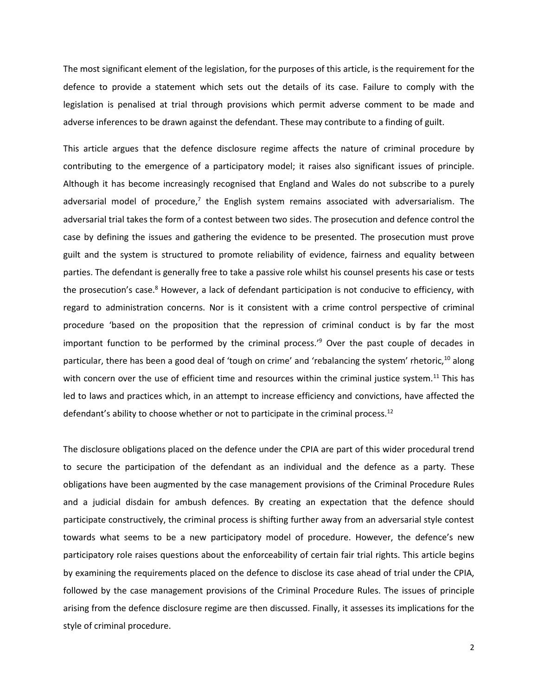The most significant element of the legislation, for the purposes of this article, is the requirement for the defence to provide a statement which sets out the details of its case. Failure to comply with the legislation is penalised at trial through provisions which permit adverse comment to be made and adverse inferences to be drawn against the defendant. These may contribute to a finding of guilt.

This article argues that the defence disclosure regime affects the nature of criminal procedure by contributing to the emergence of a participatory model; it raises also significant issues of principle. Although it has become increasingly recognised that England and Wales do not subscribe to a purely adversarial model of procedure,<sup>7</sup> the English system remains associated with adversarialism. The adversarial trial takes the form of a contest between two sides. The prosecution and defence control the case by defining the issues and gathering the evidence to be presented. The prosecution must prove guilt and the system is structured to promote reliability of evidence, fairness and equality between parties. The defendant is generally free to take a passive role whilst his counsel presents his case or tests the prosecution's case.<sup>8</sup> However, a lack of defendant participation is not conducive to efficiency, with regard to administration concerns. Nor is it consistent with a crime control perspective of criminal procedure 'based on the proposition that the repression of criminal conduct is by far the most important function to be performed by the criminal process.' <sup>9</sup> Over the past couple of decades in particular, there has been a good deal of 'tough on crime' and 'rebalancing the system' rhetoric, $^{10}$  along with concern over the use of efficient time and resources within the criminal justice system.<sup>11</sup> This has led to laws and practices which, in an attempt to increase efficiency and convictions, have affected the defendant's ability to choose whether or not to participate in the criminal process.<sup>12</sup>

The disclosure obligations placed on the defence under the CPIA are part of this wider procedural trend to secure the participation of the defendant as an individual and the defence as a party*.* These obligations have been augmented by the case management provisions of the Criminal Procedure Rules and a judicial disdain for ambush defences. By creating an expectation that the defence should participate constructively, the criminal process is shifting further away from an adversarial style contest towards what seems to be a new participatory model of procedure. However, the defence's new participatory role raises questions about the enforceability of certain fair trial rights. This article begins by examining the requirements placed on the defence to disclose its case ahead of trial under the CPIA, followed by the case management provisions of the Criminal Procedure Rules. The issues of principle arising from the defence disclosure regime are then discussed. Finally, it assesses its implications for the style of criminal procedure.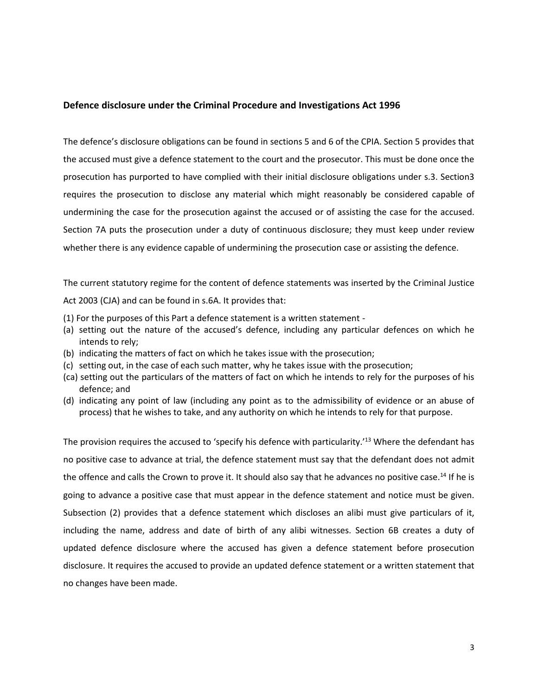#### **Defence disclosure under the Criminal Procedure and Investigations Act 1996**

The defence's disclosure obligations can be found in sections 5 and 6 of the CPIA. Section 5 provides that the accused must give a defence statement to the court and the prosecutor. This must be done once the prosecution has purported to have complied with their initial disclosure obligations under s.3. Section3 requires the prosecution to disclose any material which might reasonably be considered capable of undermining the case for the prosecution against the accused or of assisting the case for the accused. Section 7A puts the prosecution under a duty of continuous disclosure; they must keep under review whether there is any evidence capable of undermining the prosecution case or assisting the defence.

The current statutory regime for the content of defence statements was inserted by the Criminal Justice Act 2003 (CJA) and can be found in s.6A. It provides that:

- (1) For the purposes of this Part a defence statement is a written statement -
- (a) setting out the nature of the accused's defence, including any particular defences on which he intends to rely;
- (b) indicating the matters of fact on which he takes issue with the prosecution;
- (c) setting out, in the case of each such matter, why he takes issue with the prosecution;
- (ca) setting out the particulars of the matters of fact on which he intends to rely for the purposes of his defence; and
- (d) indicating any point of law (including any point as to the admissibility of evidence or an abuse of process) that he wishes to take, and any authority on which he intends to rely for that purpose.

The provision requires the accused to 'specify his defence with particularity.'<sup>13</sup> Where the defendant has no positive case to advance at trial, the defence statement must say that the defendant does not admit the offence and calls the Crown to prove it. It should also say that he advances no positive case.<sup>14</sup> If he is going to advance a positive case that must appear in the defence statement and notice must be given. Subsection (2) provides that a defence statement which discloses an alibi must give particulars of it, including the name, address and date of birth of any alibi witnesses. Section 6B creates a duty of updated defence disclosure where the accused has given a defence statement before prosecution disclosure. It requires the accused to provide an updated defence statement or a written statement that no changes have been made.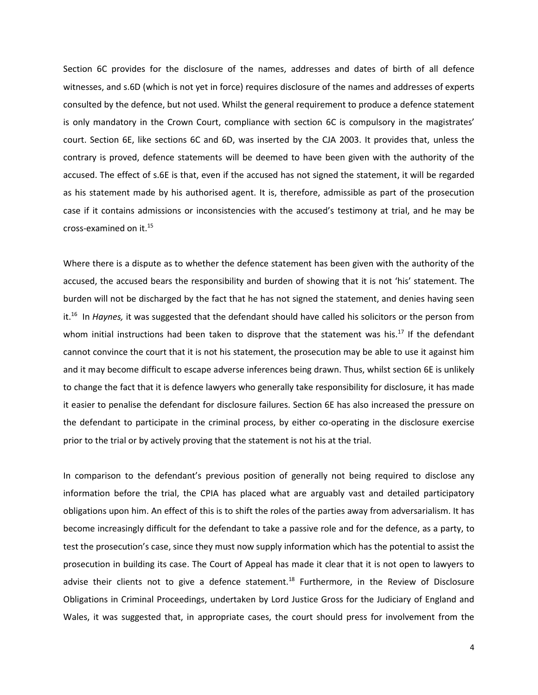Section 6C provides for the disclosure of the names, addresses and dates of birth of all defence witnesses, and s.6D (which is not yet in force) requires disclosure of the names and addresses of experts consulted by the defence, but not used. Whilst the general requirement to produce a defence statement is only mandatory in the Crown Court, compliance with section 6C is compulsory in the magistrates' court. Section 6E, like sections 6C and 6D, was inserted by the CJA 2003. It provides that, unless the contrary is proved, defence statements will be deemed to have been given with the authority of the accused. The effect of s.6E is that, even if the accused has not signed the statement, it will be regarded as his statement made by his authorised agent. It is, therefore, admissible as part of the prosecution case if it contains admissions or inconsistencies with the accused's testimony at trial, and he may be cross-examined on it.<sup>15</sup>

Where there is a dispute as to whether the defence statement has been given with the authority of the accused, the accused bears the responsibility and burden of showing that it is not 'his' statement. The burden will not be discharged by the fact that he has not signed the statement, and denies having seen it.<sup>16</sup> In *Haynes,* it was suggested that the defendant should have called his solicitors or the person from whom initial instructions had been taken to disprove that the statement was his.<sup>17</sup> If the defendant cannot convince the court that it is not his statement, the prosecution may be able to use it against him and it may become difficult to escape adverse inferences being drawn. Thus, whilst section 6E is unlikely to change the fact that it is defence lawyers who generally take responsibility for disclosure, it has made it easier to penalise the defendant for disclosure failures. Section 6E has also increased the pressure on the defendant to participate in the criminal process, by either co-operating in the disclosure exercise prior to the trial or by actively proving that the statement is not his at the trial.

In comparison to the defendant's previous position of generally not being required to disclose any information before the trial, the CPIA has placed what are arguably vast and detailed participatory obligations upon him. An effect of this is to shift the roles of the parties away from adversarialism. It has become increasingly difficult for the defendant to take a passive role and for the defence, as a party, to test the prosecution's case, since they must now supply information which has the potential to assist the prosecution in building its case. The Court of Appeal has made it clear that it is not open to lawyers to advise their clients not to give a defence statement.<sup>18</sup> Furthermore, in the Review of Disclosure Obligations in Criminal Proceedings, undertaken by Lord Justice Gross for the Judiciary of England and Wales, it was suggested that, in appropriate cases, the court should press for involvement from the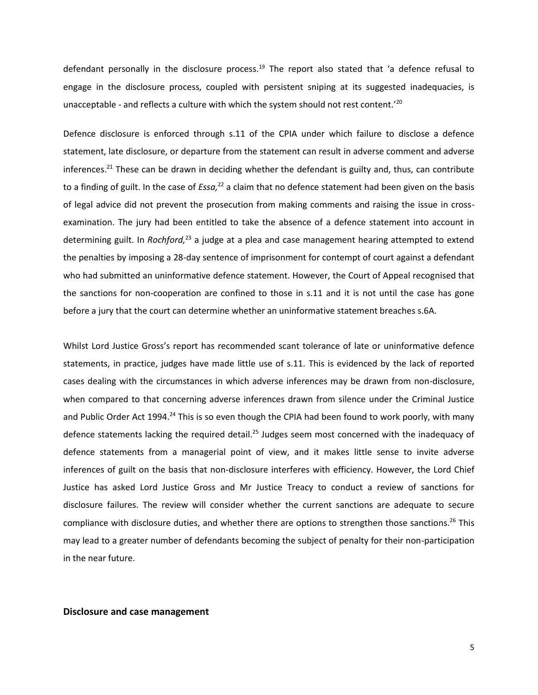defendant personally in the disclosure process.<sup>19</sup> The report also stated that 'a defence refusal to engage in the disclosure process, coupled with persistent sniping at its suggested inadequacies, is unacceptable - and reflects a culture with which the system should not rest content.<sup>'20</sup>

Defence disclosure is enforced through s.11 of the CPIA under which failure to disclose a defence statement, late disclosure, or departure from the statement can result in adverse comment and adverse inferences.<sup>21</sup> These can be drawn in deciding whether the defendant is guilty and, thus, can contribute to a finding of guilt. In the case of *Essa,*<sup>22</sup> a claim that no defence statement had been given on the basis of legal advice did not prevent the prosecution from making comments and raising the issue in crossexamination. The jury had been entitled to take the absence of a defence statement into account in determining guilt. In *Rochford,<sup>23</sup>* a judge at a plea and case management hearing attempted to extend the penalties by imposing a 28-day sentence of imprisonment for contempt of court against a defendant who had submitted an uninformative defence statement. However, the Court of Appeal recognised that the sanctions for non-cooperation are confined to those in s.11 and it is not until the case has gone before a jury that the court can determine whether an uninformative statement breaches s.6A.

Whilst Lord Justice Gross's report has recommended scant tolerance of late or uninformative defence statements, in practice, judges have made little use of s.11. This is evidenced by the lack of reported cases dealing with the circumstances in which adverse inferences may be drawn from non-disclosure, when compared to that concerning adverse inferences drawn from silence under the Criminal Justice and Public Order Act 1994.<sup>24</sup> This is so even though the CPIA had been found to work poorly, with many defence statements lacking the required detail.<sup>25</sup> Judges seem most concerned with the inadequacy of defence statements from a managerial point of view, and it makes little sense to invite adverse inferences of guilt on the basis that non-disclosure interferes with efficiency. However, the Lord Chief Justice has asked Lord Justice Gross and Mr Justice Treacy to conduct a review of sanctions for disclosure failures. The review will consider whether the current sanctions are adequate to secure compliance with disclosure duties, and whether there are options to strengthen those sanctions.<sup>26</sup> This may lead to a greater number of defendants becoming the subject of penalty for their non-participation in the near future.

#### **Disclosure and case management**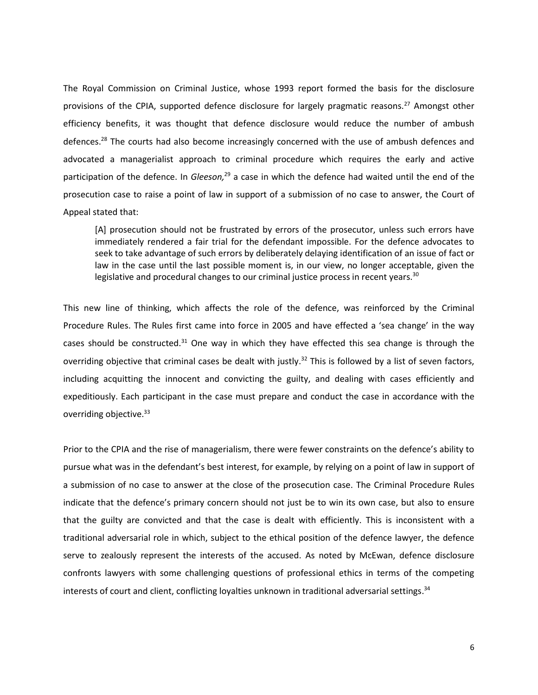The Royal Commission on Criminal Justice, whose 1993 report formed the basis for the disclosure provisions of the CPIA, supported defence disclosure for largely pragmatic reasons.<sup>27</sup> Amongst other efficiency benefits, it was thought that defence disclosure would reduce the number of ambush defences.<sup>28</sup> The courts had also become increasingly concerned with the use of ambush defences and advocated a managerialist approach to criminal procedure which requires the early and active participation of the defence. In *Gleeson,*<sup>29</sup> a case in which the defence had waited until the end of the prosecution case to raise a point of law in support of a submission of no case to answer, the Court of Appeal stated that:

[A] prosecution should not be frustrated by errors of the prosecutor, unless such errors have immediately rendered a fair trial for the defendant impossible. For the defence advocates to seek to take advantage of such errors by deliberately delaying identification of an issue of fact or law in the case until the last possible moment is, in our view, no longer acceptable, given the legislative and procedural changes to our criminal justice process in recent years.<sup>30</sup>

This new line of thinking, which affects the role of the defence, was reinforced by the Criminal Procedure Rules. The Rules first came into force in 2005 and have effected a 'sea change' in the way cases should be constructed. $31$  One way in which they have effected this sea change is through the overriding objective that criminal cases be dealt with justly.<sup>32</sup> This is followed by a list of seven factors, including acquitting the innocent and convicting the guilty, and dealing with cases efficiently and expeditiously. Each participant in the case must prepare and conduct the case in accordance with the overriding objective.<sup>33</sup>

Prior to the CPIA and the rise of managerialism, there were fewer constraints on the defence's ability to pursue what was in the defendant's best interest, for example, by relying on a point of law in support of a submission of no case to answer at the close of the prosecution case. The Criminal Procedure Rules indicate that the defence's primary concern should not just be to win its own case, but also to ensure that the guilty are convicted and that the case is dealt with efficiently. This is inconsistent with a traditional adversarial role in which, subject to the ethical position of the defence lawyer, the defence serve to zealously represent the interests of the accused. As noted by McEwan, defence disclosure confronts lawyers with some challenging questions of professional ethics in terms of the competing interests of court and client, conflicting loyalties unknown in traditional adversarial settings. 34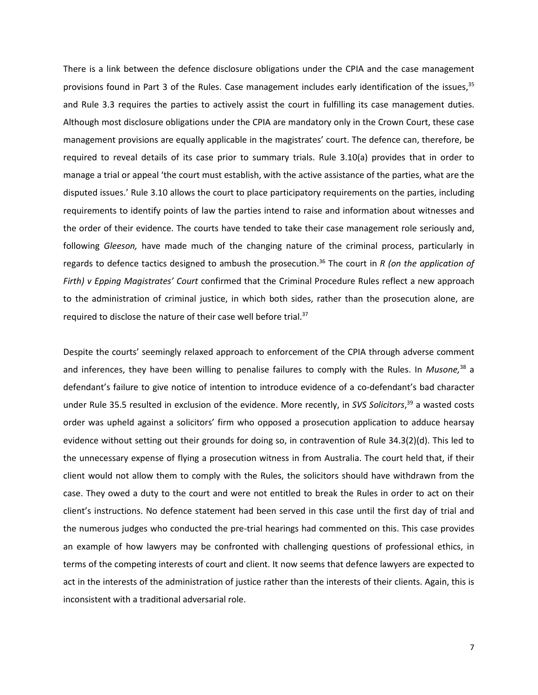There is a link between the defence disclosure obligations under the CPIA and the case management provisions found in Part 3 of the Rules. Case management includes early identification of the issues,<sup>35</sup> and Rule 3.3 requires the parties to actively assist the court in fulfilling its case management duties. Although most disclosure obligations under the CPIA are mandatory only in the Crown Court, these case management provisions are equally applicable in the magistrates' court. The defence can, therefore, be required to reveal details of its case prior to summary trials. Rule 3.10(a) provides that in order to manage a trial or appeal 'the court must establish, with the active assistance of the parties, what are the disputed issues.' Rule 3.10 allows the court to place participatory requirements on the parties, including requirements to identify points of law the parties intend to raise and information about witnesses and the order of their evidence. The courts have tended to take their case management role seriously and, following *Gleeson,* have made much of the changing nature of the criminal process, particularly in regards to defence tactics designed to ambush the prosecution.<sup>36</sup> The court in *R (on the application of Firth) v Epping Magistrates' Court* confirmed that the Criminal Procedure Rules reflect a new approach to the administration of criminal justice, in which both sides, rather than the prosecution alone, are required to disclose the nature of their case well before trial.<sup>37</sup>

Despite the courts' seemingly relaxed approach to enforcement of the CPIA through adverse comment and inferences, they have been willing to penalise failures to comply with the Rules. In *Musone,* <sup>38</sup> a defendant's failure to give notice of intention to introduce evidence of a co-defendant's bad character under Rule 35.5 resulted in exclusion of the evidence. More recently, in *SVS Solicitors*, <sup>39</sup> a wasted costs order was upheld against a solicitors' firm who opposed a prosecution application to adduce hearsay evidence without setting out their grounds for doing so, in contravention of Rule 34.3(2)(d). This led to the unnecessary expense of flying a prosecution witness in from Australia. The court held that, if their client would not allow them to comply with the Rules, the solicitors should have withdrawn from the case. They owed a duty to the court and were not entitled to break the Rules in order to act on their client's instructions. No defence statement had been served in this case until the first day of trial and the numerous judges who conducted the pre-trial hearings had commented on this. This case provides an example of how lawyers may be confronted with challenging questions of professional ethics, in terms of the competing interests of court and client. It now seems that defence lawyers are expected to act in the interests of the administration of justice rather than the interests of their clients. Again, this is inconsistent with a traditional adversarial role.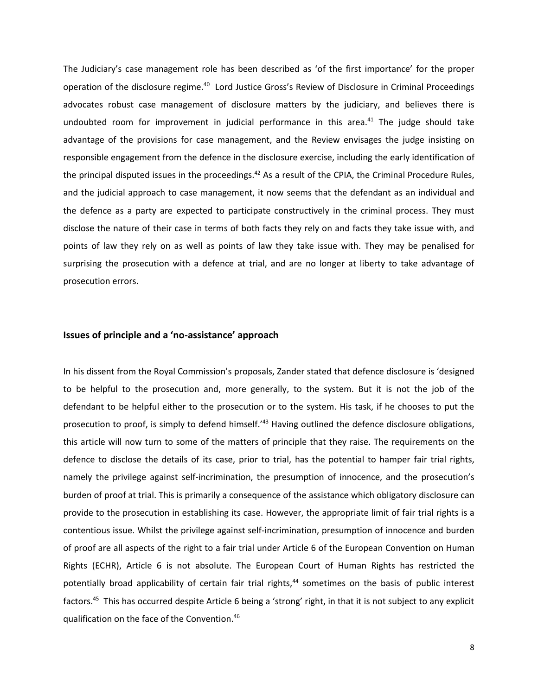The Judiciary's case management role has been described as 'of the first importance' for the proper operation of the disclosure regime.<sup>40</sup> Lord Justice Gross's Review of Disclosure in Criminal Proceedings advocates robust case management of disclosure matters by the judiciary, and believes there is undoubted room for improvement in judicial performance in this area.<sup>41</sup> The judge should take advantage of the provisions for case management, and the Review envisages the judge insisting on responsible engagement from the defence in the disclosure exercise, including the early identification of the principal disputed issues in the proceedings.<sup>42</sup> As a result of the CPIA, the Criminal Procedure Rules, and the judicial approach to case management, it now seems that the defendant as an individual and the defence as a party are expected to participate constructively in the criminal process. They must disclose the nature of their case in terms of both facts they rely on and facts they take issue with, and points of law they rely on as well as points of law they take issue with. They may be penalised for surprising the prosecution with a defence at trial, and are no longer at liberty to take advantage of prosecution errors.

#### **Issues of principle and a 'no-assistance' approach**

In his dissent from the Royal Commission's proposals, Zander stated that defence disclosure is 'designed to be helpful to the prosecution and, more generally, to the system. But it is not the job of the defendant to be helpful either to the prosecution or to the system. His task, if he chooses to put the prosecution to proof, is simply to defend himself.'<sup>43</sup> Having outlined the defence disclosure obligations, this article will now turn to some of the matters of principle that they raise. The requirements on the defence to disclose the details of its case, prior to trial, has the potential to hamper fair trial rights, namely the privilege against self-incrimination, the presumption of innocence, and the prosecution's burden of proof at trial. This is primarily a consequence of the assistance which obligatory disclosure can provide to the prosecution in establishing its case. However, the appropriate limit of fair trial rights is a contentious issue. Whilst the privilege against self-incrimination, presumption of innocence and burden of proof are all aspects of the right to a fair trial under Article 6 of the European Convention on Human Rights (ECHR), Article 6 is not absolute. The European Court of Human Rights has restricted the potentially broad applicability of certain fair trial rights,<sup>44</sup> sometimes on the basis of public interest factors.<sup>45</sup> This has occurred despite Article 6 being a 'strong' right, in that it is not subject to any explicit qualification on the face of the Convention.46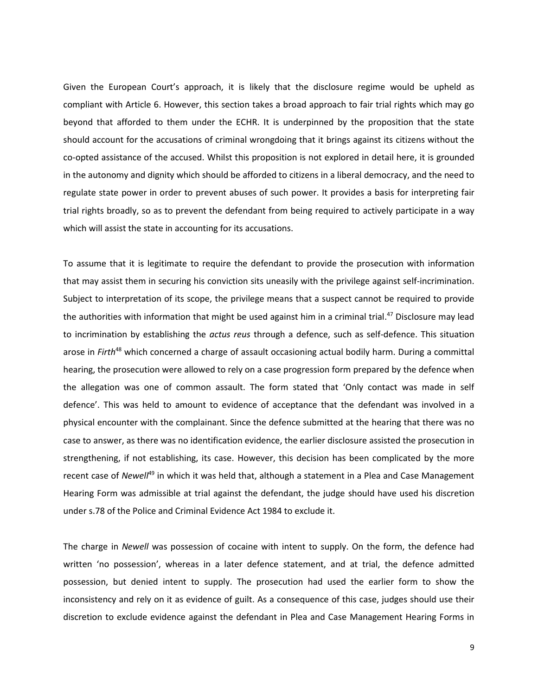Given the European Court's approach, it is likely that the disclosure regime would be upheld as compliant with Article 6. However, this section takes a broad approach to fair trial rights which may go beyond that afforded to them under the ECHR. It is underpinned by the proposition that the state should account for the accusations of criminal wrongdoing that it brings against its citizens without the co-opted assistance of the accused. Whilst this proposition is not explored in detail here, it is grounded in the autonomy and dignity which should be afforded to citizens in a liberal democracy, and the need to regulate state power in order to prevent abuses of such power. It provides a basis for interpreting fair trial rights broadly, so as to prevent the defendant from being required to actively participate in a way which will assist the state in accounting for its accusations.

To assume that it is legitimate to require the defendant to provide the prosecution with information that may assist them in securing his conviction sits uneasily with the privilege against self-incrimination. Subject to interpretation of its scope, the privilege means that a suspect cannot be required to provide the authorities with information that might be used against him in a criminal trial. <sup>47</sup> Disclosure may lead to incrimination by establishing the *actus reus* through a defence, such as self-defence. This situation arose in *Firth*<sup>48</sup> which concerned a charge of assault occasioning actual bodily harm. During a committal hearing, the prosecution were allowed to rely on a case progression form prepared by the defence when the allegation was one of common assault. The form stated that 'Only contact was made in self defence'. This was held to amount to evidence of acceptance that the defendant was involved in a physical encounter with the complainant. Since the defence submitted at the hearing that there was no case to answer, as there was no identification evidence, the earlier disclosure assisted the prosecution in strengthening, if not establishing, its case. However, this decision has been complicated by the more recent case of *Newell*<sup>49</sup> in which it was held that, although a statement in a Plea and Case Management Hearing Form was admissible at trial against the defendant, the judge should have used his discretion under s.78 of the Police and Criminal Evidence Act 1984 to exclude it.

The charge in *Newell* was possession of cocaine with intent to supply. On the form, the defence had written 'no possession', whereas in a later defence statement, and at trial, the defence admitted possession, but denied intent to supply. The prosecution had used the earlier form to show the inconsistency and rely on it as evidence of guilt. As a consequence of this case, judges should use their discretion to exclude evidence against the defendant in Plea and Case Management Hearing Forms in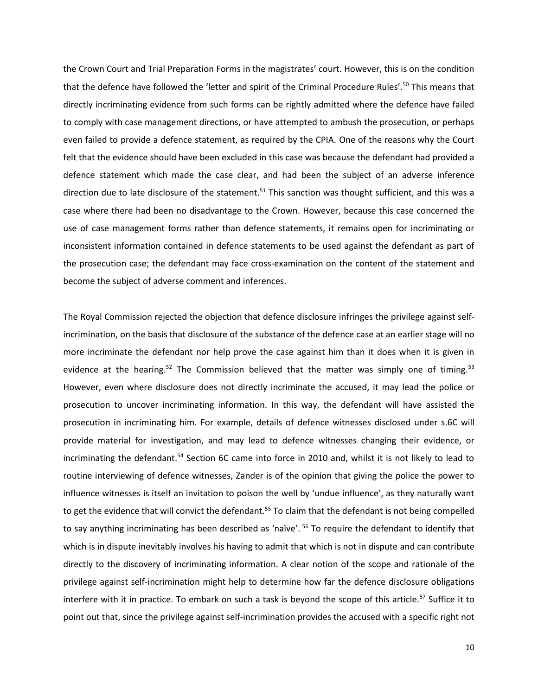the Crown Court and Trial Preparation Forms in the magistrates' court. However, this is on the condition that the defence have followed the 'letter and spirit of the Criminal Procedure Rules'.<sup>50</sup> This means that directly incriminating evidence from such forms can be rightly admitted where the defence have failed to comply with case management directions, or have attempted to ambush the prosecution, or perhaps even failed to provide a defence statement, as required by the CPIA. One of the reasons why the Court felt that the evidence should have been excluded in this case was because the defendant had provided a defence statement which made the case clear, and had been the subject of an adverse inference direction due to late disclosure of the statement.<sup>51</sup> This sanction was thought sufficient, and this was a case where there had been no disadvantage to the Crown. However, because this case concerned the use of case management forms rather than defence statements, it remains open for incriminating or inconsistent information contained in defence statements to be used against the defendant as part of the prosecution case; the defendant may face cross-examination on the content of the statement and become the subject of adverse comment and inferences.

The Royal Commission rejected the objection that defence disclosure infringes the privilege against selfincrimination, on the basis that disclosure of the substance of the defence case at an earlier stage will no more incriminate the defendant nor help prove the case against him than it does when it is given in evidence at the hearing.<sup>52</sup> The Commission believed that the matter was simply one of timing.<sup>53</sup> However, even where disclosure does not directly incriminate the accused, it may lead the police or prosecution to uncover incriminating information. In this way, the defendant will have assisted the prosecution in incriminating him. For example, details of defence witnesses disclosed under s.6C will provide material for investigation, and may lead to defence witnesses changing their evidence, or incriminating the defendant.<sup>54</sup> Section 6C came into force in 2010 and, whilst it is not likely to lead to routine interviewing of defence witnesses, Zander is of the opinion that giving the police the power to influence witnesses is itself an invitation to poison the well by 'undue influence', as they naturally want to get the evidence that will convict the defendant.<sup>55</sup> To claim that the defendant is not being compelled to say anything incriminating has been described as 'naïve'. <sup>56</sup> To require the defendant to identify that which is in dispute inevitably involves his having to admit that which is not in dispute and can contribute directly to the discovery of incriminating information. A clear notion of the scope and rationale of the privilege against self-incrimination might help to determine how far the defence disclosure obligations interfere with it in practice. To embark on such a task is beyond the scope of this article.<sup>57</sup> Suffice it to point out that, since the privilege against self-incrimination provides the accused with a specific right not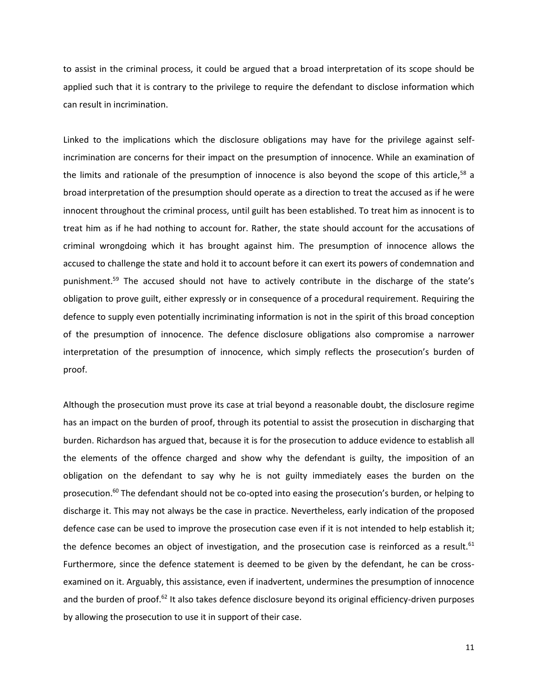to assist in the criminal process, it could be argued that a broad interpretation of its scope should be applied such that it is contrary to the privilege to require the defendant to disclose information which can result in incrimination.

Linked to the implications which the disclosure obligations may have for the privilege against selfincrimination are concerns for their impact on the presumption of innocence. While an examination of the limits and rationale of the presumption of innocence is also beyond the scope of this article,<sup>58</sup> a broad interpretation of the presumption should operate as a direction to treat the accused as if he were innocent throughout the criminal process, until guilt has been established. To treat him as innocent is to treat him as if he had nothing to account for. Rather, the state should account for the accusations of criminal wrongdoing which it has brought against him. The presumption of innocence allows the accused to challenge the state and hold it to account before it can exert its powers of condemnation and punishment.<sup>59</sup> The accused should not have to actively contribute in the discharge of the state's obligation to prove guilt, either expressly or in consequence of a procedural requirement. Requiring the defence to supply even potentially incriminating information is not in the spirit of this broad conception of the presumption of innocence. The defence disclosure obligations also compromise a narrower interpretation of the presumption of innocence, which simply reflects the prosecution's burden of proof.

Although the prosecution must prove its case at trial beyond a reasonable doubt, the disclosure regime has an impact on the burden of proof, through its potential to assist the prosecution in discharging that burden. Richardson has argued that, because it is for the prosecution to adduce evidence to establish all the elements of the offence charged and show why the defendant is guilty, the imposition of an obligation on the defendant to say why he is not guilty immediately eases the burden on the prosecution.<sup>60</sup> The defendant should not be co-opted into easing the prosecution's burden, or helping to discharge it. This may not always be the case in practice. Nevertheless, early indication of the proposed defence case can be used to improve the prosecution case even if it is not intended to help establish it; the defence becomes an object of investigation, and the prosecution case is reinforced as a result. $61$ Furthermore, since the defence statement is deemed to be given by the defendant, he can be crossexamined on it. Arguably, this assistance, even if inadvertent, undermines the presumption of innocence and the burden of proof.<sup>62</sup> It also takes defence disclosure beyond its original efficiency-driven purposes by allowing the prosecution to use it in support of their case.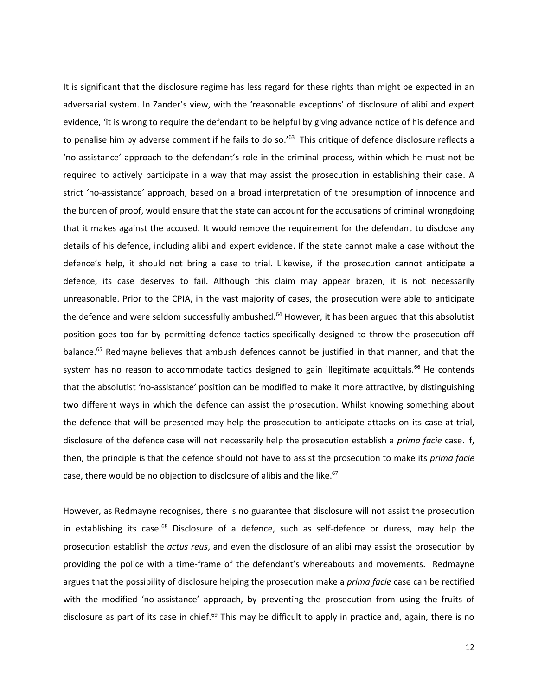It is significant that the disclosure regime has less regard for these rights than might be expected in an adversarial system. In Zander's view, with the 'reasonable exceptions' of disclosure of alibi and expert evidence, 'it is wrong to require the defendant to be helpful by giving advance notice of his defence and to penalise him by adverse comment if he fails to do so.'<sup>63</sup> This critique of defence disclosure reflects a 'no-assistance' approach to the defendant's role in the criminal process, within which he must not be required to actively participate in a way that may assist the prosecution in establishing their case. A strict 'no-assistance' approach, based on a broad interpretation of the presumption of innocence and the burden of proof, would ensure that the state can account for the accusations of criminal wrongdoing that it makes against the accused*.* It would remove the requirement for the defendant to disclose any details of his defence, including alibi and expert evidence. If the state cannot make a case without the defence's help, it should not bring a case to trial. Likewise, if the prosecution cannot anticipate a defence, its case deserves to fail. Although this claim may appear brazen, it is not necessarily unreasonable. Prior to the CPIA, in the vast majority of cases, the prosecution were able to anticipate the defence and were seldom successfully ambushed.<sup>64</sup> However, it has been argued that this absolutist position goes too far by permitting defence tactics specifically designed to throw the prosecution off balance.<sup>65</sup> Redmayne believes that ambush defences cannot be justified in that manner, and that the system has no reason to accommodate tactics designed to gain illegitimate acquittals.<sup>66</sup> He contends that the absolutist 'no-assistance' position can be modified to make it more attractive, by distinguishing two different ways in which the defence can assist the prosecution. Whilst knowing something about the defence that will be presented may help the prosecution to anticipate attacks on its case at trial, disclosure of the defence case will not necessarily help the prosecution establish a *prima facie* case. If, then, the principle is that the defence should not have to assist the prosecution to make its *prima facie* case, there would be no objection to disclosure of alibis and the like.<sup>67</sup>

However, as Redmayne recognises, there is no guarantee that disclosure will not assist the prosecution in establishing its case.<sup>68</sup> Disclosure of a defence, such as self-defence or duress, may help the prosecution establish the *actus reus*, and even the disclosure of an alibi may assist the prosecution by providing the police with a time-frame of the defendant's whereabouts and movements. Redmayne argues that the possibility of disclosure helping the prosecution make a *prima facie* case can be rectified with the modified 'no-assistance' approach, by preventing the prosecution from using the fruits of disclosure as part of its case in chief.<sup>69</sup> This may be difficult to apply in practice and, again, there is no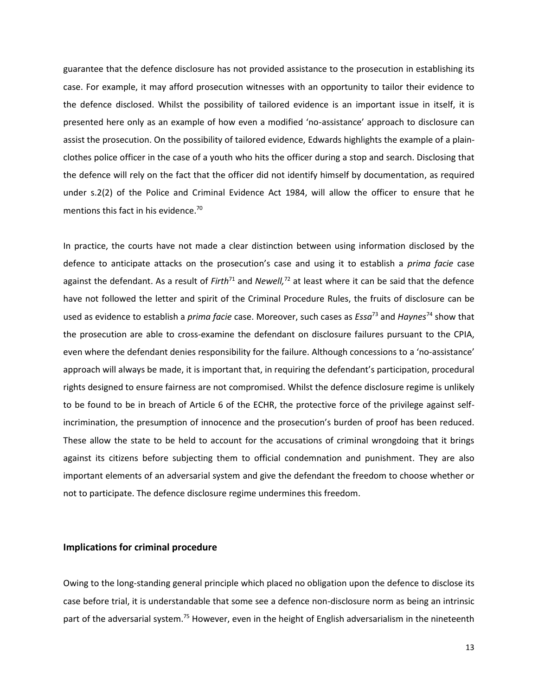guarantee that the defence disclosure has not provided assistance to the prosecution in establishing its case. For example, it may afford prosecution witnesses with an opportunity to tailor their evidence to the defence disclosed. Whilst the possibility of tailored evidence is an important issue in itself, it is presented here only as an example of how even a modified 'no-assistance' approach to disclosure can assist the prosecution. On the possibility of tailored evidence, Edwards highlights the example of a plainclothes police officer in the case of a youth who hits the officer during a stop and search. Disclosing that the defence will rely on the fact that the officer did not identify himself by documentation, as required under s.2(2) of the Police and Criminal Evidence Act 1984, will allow the officer to ensure that he mentions this fact in his evidence.<sup>70</sup>

In practice, the courts have not made a clear distinction between using information disclosed by the defence to anticipate attacks on the prosecution's case and using it to establish a *prima facie* case against the defendant. As a result of *Firth*<sup>71</sup> and *Newell,* <sup>72</sup> at least where it can be said that the defence have not followed the letter and spirit of the Criminal Procedure Rules, the fruits of disclosure can be used as evidence to establish a *prima facie* case. Moreover, such cases as *Essa*<sup>73</sup> and *Haynes*<sup>74</sup> show that the prosecution are able to cross-examine the defendant on disclosure failures pursuant to the CPIA, even where the defendant denies responsibility for the failure. Although concessions to a 'no-assistance' approach will always be made, it is important that, in requiring the defendant's participation, procedural rights designed to ensure fairness are not compromised. Whilst the defence disclosure regime is unlikely to be found to be in breach of Article 6 of the ECHR, the protective force of the privilege against selfincrimination, the presumption of innocence and the prosecution's burden of proof has been reduced. These allow the state to be held to account for the accusations of criminal wrongdoing that it brings against its citizens before subjecting them to official condemnation and punishment. They are also important elements of an adversarial system and give the defendant the freedom to choose whether or not to participate. The defence disclosure regime undermines this freedom.

#### **Implications for criminal procedure**

Owing to the long-standing general principle which placed no obligation upon the defence to disclose its case before trial, it is understandable that some see a defence non-disclosure norm as being an intrinsic part of the adversarial system.<sup>75</sup> However, even in the height of English adversarialism in the nineteenth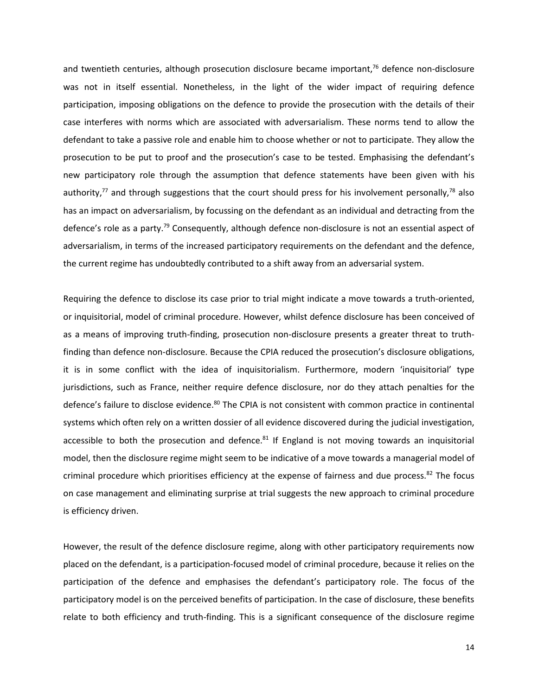and twentieth centuries, although prosecution disclosure became important, $76$  defence non-disclosure was not in itself essential. Nonetheless, in the light of the wider impact of requiring defence participation, imposing obligations on the defence to provide the prosecution with the details of their case interferes with norms which are associated with adversarialism. These norms tend to allow the defendant to take a passive role and enable him to choose whether or not to participate. They allow the prosecution to be put to proof and the prosecution's case to be tested. Emphasising the defendant's new participatory role through the assumption that defence statements have been given with his authority, $77$  and through suggestions that the court should press for his involvement personally, $78$  also has an impact on adversarialism, by focussing on the defendant as an individual and detracting from the defence's role as a party.<sup>79</sup> Consequently, although defence non-disclosure is not an essential aspect of adversarialism, in terms of the increased participatory requirements on the defendant and the defence, the current regime has undoubtedly contributed to a shift away from an adversarial system.

Requiring the defence to disclose its case prior to trial might indicate a move towards a truth-oriented, or inquisitorial, model of criminal procedure. However, whilst defence disclosure has been conceived of as a means of improving truth-finding, prosecution non-disclosure presents a greater threat to truthfinding than defence non-disclosure. Because the CPIA reduced the prosecution's disclosure obligations, it is in some conflict with the idea of inquisitorialism. Furthermore, modern 'inquisitorial' type jurisdictions, such as France, neither require defence disclosure, nor do they attach penalties for the defence's failure to disclose evidence.<sup>80</sup> The CPIA is not consistent with common practice in continental systems which often rely on a written dossier of all evidence discovered during the judicial investigation, accessible to both the prosecution and defence. $81$  If England is not moving towards an inquisitorial model, then the disclosure regime might seem to be indicative of a move towards a managerial model of criminal procedure which prioritises efficiency at the expense of fairness and due process. $82$  The focus on case management and eliminating surprise at trial suggests the new approach to criminal procedure is efficiency driven.

However, the result of the defence disclosure regime, along with other participatory requirements now placed on the defendant, is a participation-focused model of criminal procedure, because it relies on the participation of the defence and emphasises the defendant's participatory role. The focus of the participatory model is on the perceived benefits of participation. In the case of disclosure, these benefits relate to both efficiency and truth-finding. This is a significant consequence of the disclosure regime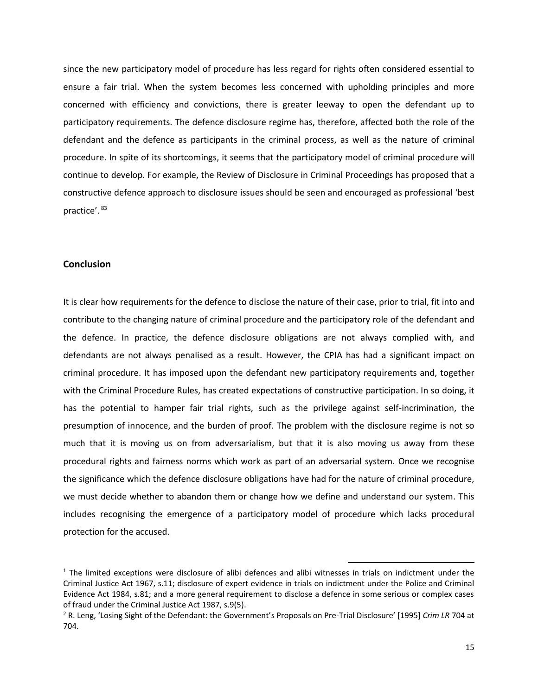since the new participatory model of procedure has less regard for rights often considered essential to ensure a fair trial. When the system becomes less concerned with upholding principles and more concerned with efficiency and convictions, there is greater leeway to open the defendant up to participatory requirements. The defence disclosure regime has, therefore, affected both the role of the defendant and the defence as participants in the criminal process, as well as the nature of criminal procedure. In spite of its shortcomings, it seems that the participatory model of criminal procedure will continue to develop. For example, the Review of Disclosure in Criminal Proceedings has proposed that a constructive defence approach to disclosure issues should be seen and encouraged as professional 'best practice'. 83

#### **Conclusion**

It is clear how requirements for the defence to disclose the nature of their case, prior to trial, fit into and contribute to the changing nature of criminal procedure and the participatory role of the defendant and the defence. In practice, the defence disclosure obligations are not always complied with, and defendants are not always penalised as a result. However, the CPIA has had a significant impact on criminal procedure. It has imposed upon the defendant new participatory requirements and, together with the Criminal Procedure Rules, has created expectations of constructive participation. In so doing, it has the potential to hamper fair trial rights, such as the privilege against self-incrimination, the presumption of innocence, and the burden of proof. The problem with the disclosure regime is not so much that it is moving us on from adversarialism, but that it is also moving us away from these procedural rights and fairness norms which work as part of an adversarial system. Once we recognise the significance which the defence disclosure obligations have had for the nature of criminal procedure, we must decide whether to abandon them or change how we define and understand our system. This includes recognising the emergence of a participatory model of procedure which lacks procedural protection for the accused.

 $\overline{\phantom{a}}$ 

<sup>&</sup>lt;sup>1</sup> The limited exceptions were disclosure of alibi defences and alibi witnesses in trials on indictment under the Criminal Justice Act 1967, s.11; disclosure of expert evidence in trials on indictment under the Police and Criminal Evidence Act 1984, s.81; and a more general requirement to disclose a defence in some serious or complex cases of fraud under the Criminal Justice Act 1987, s.9(5).

<sup>2</sup> R. Leng, 'Losing Sight of the Defendant: the Government's Proposals on Pre-Trial Disclosure' [1995] *Crim LR* 704 at 704.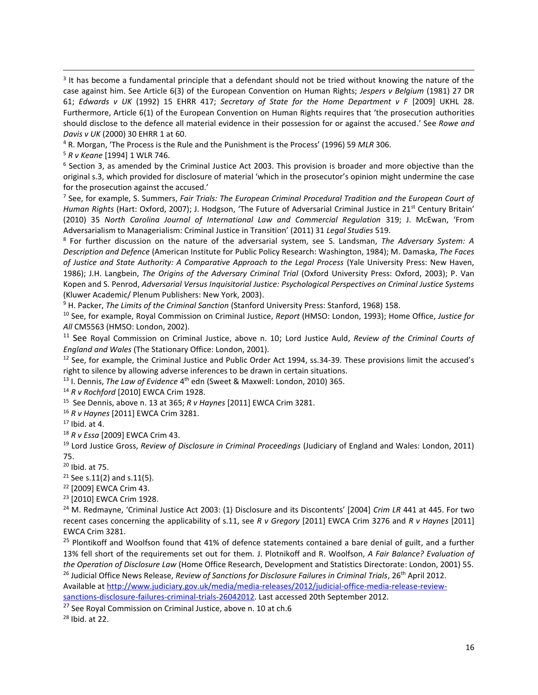<sup>3</sup> It has become a fundamental principle that a defendant should not be tried without knowing the nature of the case against him. See Article 6(3) of the European Convention on Human Rights; *Jespers v Belgium* (1981) 27 DR 61; *Edwards v UK* (1992) 15 EHRR 417; *Secretary of State for the Home Department v F* [2009] UKHL 28. Furthermore, Article 6(1) of the European Convention on Human Rights requires that 'the prosecution authorities should disclose to the defence all material evidence in their possession for or against the accused.' See *Rowe and Davis v UK* (2000) 30 EHRR 1 at 60.

<sup>4</sup> R. Morgan, 'The Process is the Rule and the Punishment is the Process' (1996) 59 *MLR* 306.

<sup>5</sup> *R v Keane* [1994] 1 WLR 746.

 $\overline{\phantom{a}}$ 

<sup>6</sup> Section 3, as amended by the Criminal Justice Act 2003. This provision is broader and more objective than the original s.3, which provided for disclosure of material 'which in the prosecutor's opinion might undermine the case for the prosecution against the accused.'

7 See, for example, S. Summers, *Fair Trials: The European Criminal Procedural Tradition and the European Court of Human Rights* (Hart: Oxford, 2007); J. Hodgson, 'The Future of Adversarial Criminal Justice in 21<sup>st</sup> Century Britain' (2010) 35 *North Carolina Journal of International Law and Commercial Regulation* 319; J. McEwan, 'From Adversarialism to Managerialism: Criminal Justice in Transition' (2011) 31 *Legal Studies* 519.

8 For further discussion on the nature of the adversarial system, see S. Landsman, *The Adversary System: A Description and Defence* (American Institute for Public Policy Research: Washington, 1984); M. Damaska, *The Faces of Justice and State Authority: A Comparative Approach to the Legal Process* (Yale University Press: New Haven, 1986); J.H. Langbein, *The Origins of the Adversary Criminal Trial* (Oxford University Press: Oxford, 2003); P. Van Kopen and S. Penrod, *Adversarial Versus Inquisitorial Justice: Psychological Perspectives on Criminal Justice Systems*  (Kluwer Academic/ Plenum Publishers: New York, 2003).

<sup>9</sup> H. Packer, *The Limits of the Criminal Sanction* (Stanford University Press: Stanford, 1968) 158.

<sup>10</sup> See, for example, Royal Commission on Criminal Justice, *Report* (HMSO: London, 1993); Home Office, *Justice for All* CM5563 (HMSO: London, 2002).

<sup>11</sup> See Royal Commission on Criminal Justice, above n. 10; Lord Justice Auld, *Review of the Criminal Courts of England and Wales* (The Stationary Office: London, 2001).

 $12$  See, for example, the Criminal Justice and Public Order Act 1994, ss.34-39. These provisions limit the accused's right to silence by allowing adverse inferences to be drawn in certain situations.

<sup>13</sup> I. Dennis, *The Law of Evidence* 4<sup>th</sup> edn (Sweet & Maxwell: London, 2010) 365.

<sup>14</sup> *R v Rochford* [2010] EWCA Crim 1928.

15 See Dennis, above n. 13 at 365; *R v Haynes* [2011] EWCA Crim 3281.

<sup>16</sup> *R v Haynes* [2011] EWCA Crim 3281.

 $17$  Ibid. at 4.

<sup>18</sup> *R v Essa* [2009] EWCA Crim 43.

<sup>19</sup> Lord Justice Gross, *Review of Disclosure in Criminal Proceedings* (Judiciary of England and Wales: London, 2011) 75.

<sup>20</sup> Ibid. at 75.

 $21$  See s.11(2) and s.11(5).

<sup>22</sup> [2009] EWCA Crim 43.

<sup>23</sup> [2010] EWCA Crim 1928.

<sup>24</sup> M. Redmayne, 'Criminal Justice Act 2003: (1) Disclosure and its Discontents' [2004] *Crim LR* 441 at 445. For two recent cases concerning the applicability of s.11, see *R v Gregory* [2011] EWCA Crim 3276 and *R v Haynes* [2011] EWCA Crim 3281.

<sup>25</sup> Plontikoff and Woolfson found that 41% of defence statements contained a bare denial of guilt, and a further 13% fell short of the requirements set out for them. J. Plotnikoff and R. Woolfson, *A Fair Balance? Evaluation of the Operation of Disclosure Law* (Home Office Research, Development and Statistics Directorate: London, 2001) 55. <sup>26</sup> Judicial Office News Release, *Review of Sanctions for Disclosure Failures in Criminal Trials*, 26<sup>th</sup> April 2012.

Available a[t http://www.judiciary.gov.uk/media/media-releases/2012/judicial-office-media-release-review-](http://www.judiciary.gov.uk/media/media-releases/2012/judicial-office-media-release-review-sanctions-disclosure-failures-criminal-trials-26042012)

[sanctions-disclosure-failures-criminal-trials-26042012.](http://www.judiciary.gov.uk/media/media-releases/2012/judicial-office-media-release-review-sanctions-disclosure-failures-criminal-trials-26042012) Last accessed 20th September 2012.

<sup>27</sup> See Royal Commission on Criminal Justice, above n. 10 at ch.6

<sup>28</sup> Ibid. at 22.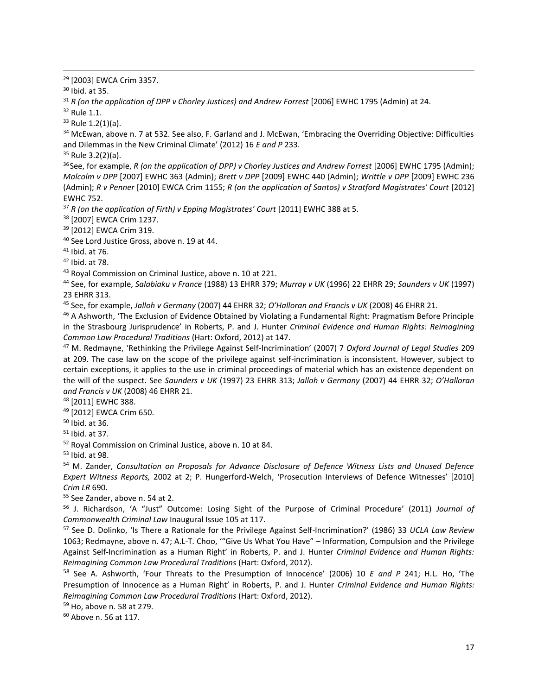<sup>29</sup> [2003] EWCA Crim 3357.

<sup>30</sup> Ibid. at 35.

 $\overline{\phantom{a}}$ 

<sup>31</sup> *R (on the application of DPP v Chorley Justices) and Andrew Forrest* [2006] EWHC 1795 (Admin) at 24.

<sup>32</sup> Rule 1.1.

 $33$  Rule 1.2(1)(a).

<sup>34</sup> McEwan, above n. 7 at 532. See also, F. Garland and J. McEwan, 'Embracing the Overriding Objective: Difficulties and Dilemmas in the New Criminal Climate' (2012) 16 *E and P* 233.

 $35$  Rule 3.2(2)(a).

<sup>36</sup> See, for example, *R (on the application of DPP) v Chorley Justices and Andrew Forrest* [2006] EWHC 1795 (Admin); *Malcolm v DPP* [2007] EWHC 363 (Admin); *Brett v DPP* [2009] EWHC 440 (Admin); *Writtle v DPP* [2009] EWHC 236 (Admin); *R v Penner* [2010] EWCA Crim 1155; *R (on the application of Santos) v Stratford Magistrates' Court* [2012] EWHC 752.

<sup>37</sup> *R (on the application of Firth) v Epping Magistrates' Court* [2011] EWHC 388 at 5.

<sup>38</sup> [2007] EWCA Crim 1237.

<sup>39</sup> [2012] EWCA Crim 319.

<sup>40</sup> See Lord Justice Gross, above n. 19 at 44.

<sup>41</sup> Ibid. at 76.

 $42$  Ibid. at 78.

<sup>43</sup> Royal Commission on Criminal Justice, above n. 10 at 221.

<sup>44</sup> See, for example, *Salabiaku v France* (1988) 13 EHRR 379; *Murray v UK* (1996) 22 EHRR 29; *Saunders v UK* (1997) 23 EHRR 313.

<sup>45</sup> See, for example, *Jalloh v Germany* (2007) 44 EHRR 32; *O'Halloran and Francis v UK* (2008) 46 EHRR 21.

<sup>46</sup> A Ashworth, 'The Exclusion of Evidence Obtained by Violating a Fundamental Right: Pragmatism Before Principle in the Strasbourg Jurisprudence' in Roberts, P. and J. Hunter *Criminal Evidence and Human Rights: Reimagining Common Law Procedural Traditions* (Hart: Oxford, 2012) at 147.

<sup>47</sup> M. Redmayne, 'Rethinking the Privilege Against Self-Incrimination' (2007) 7 *Oxford Journal of Legal Studies* 209 at 209. The case law on the scope of the privilege against self-incrimination is inconsistent. However, subject to certain exceptions, it applies to the use in criminal proceedings of material which has an existence dependent on the will of the suspect. See *Saunders v UK* (1997) 23 EHRR 313; *Jalloh v Germany* (2007) 44 EHRR 32; *O'Halloran and Francis v UK* (2008) 46 EHRR 21.

<sup>48</sup> [2011] EWHC 388.

<sup>49</sup> [2012] EWCA Crim 650.

<sup>50</sup> Ibid. at 36.

<sup>51</sup> Ibid. at 37.

<sup>52</sup> Royal Commission on Criminal Justice, above n. 10 at 84.

<sup>53</sup> Ibid. at 98.

<sup>54</sup> M. Zander, *Consultation on Proposals for Advance Disclosure of Defence Witness Lists and Unused Defence Expert Witness Reports,* 2002 at 2; P. Hungerford-Welch, 'Prosecution Interviews of Defence Witnesses' [2010] *Crim LR* 690.

<sup>55</sup> See Zander, above n. 54 at 2.

<sup>56</sup> J. Richardson, 'A "Just" Outcome: Losing Sight of the Purpose of Criminal Procedure' (2011) *Journal of Commonwealth Criminal Law* Inaugural Issue 105 at 117.

<sup>57</sup> See D. Dolinko, 'Is There a Rationale for the Privilege Against Self-Incrimination?' (1986) 33 *UCLA Law Review* 1063; Redmayne, above n. 47; A.L-T. Choo, '"Give Us What You Have" – Information, Compulsion and the Privilege Against Self-Incrimination as a Human Right' in Roberts, P. and J. Hunter *Criminal Evidence and Human Rights: Reimagining Common Law Procedural Traditions* (Hart: Oxford, 2012).

<sup>58</sup> See A. Ashworth, 'Four Threats to the Presumption of Innocence' (2006) 10 *E and P* 241; H.L. Ho, 'The Presumption of Innocence as a Human Right' in Roberts, P. and J. Hunter *Criminal Evidence and Human Rights: Reimagining Common Law Procedural Traditions* (Hart: Oxford, 2012).

<sup>59</sup> Ho, above n. 58 at 279.

<sup>60</sup> Above n. 56 at 117.